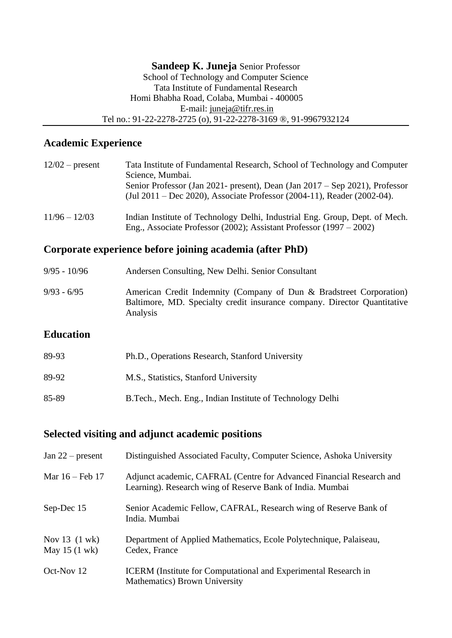## **Academic Experience**

| $12/02$ – present | Tata Institute of Fundamental Research, School of Technology and Computer<br>Science, Mumbai.<br>Senior Professor (Jan 2021- present), Dean (Jan 2017 – Sep 2021), Professor<br>(Jul 2011 – Dec 2020), Associate Professor (2004-11), Reader (2002-04). |
|-------------------|---------------------------------------------------------------------------------------------------------------------------------------------------------------------------------------------------------------------------------------------------------|
| $11/96 - 12/03$   | Indian Institute of Technology Delhi, Industrial Eng. Group, Dept. of Mech.<br>Eng., Associate Professor (2002); Assistant Professor (1997 – 2002)                                                                                                      |

## **Corporate experience before joining academia (after PhD)**

| 9/95 - 10/96  | Andersen Consulting, New Delhi. Senior Consultant                                                                                                           |
|---------------|-------------------------------------------------------------------------------------------------------------------------------------------------------------|
| $9/93 - 6/95$ | American Credit Indemnity (Company of Dun & Bradstreet Corporation)<br>Baltimore, MD. Specialty credit insurance company. Director Quantitative<br>Analysis |
|               |                                                                                                                                                             |

## **Education**

| 89-93 | Ph.D., Operations Research, Stanford University            |
|-------|------------------------------------------------------------|
| 89-92 | M.S., Statistics, Stanford University                      |
| 85-89 | B. Tech., Mech. Eng., Indian Institute of Technology Delhi |

# **Selected visiting and adjunct academic positions**

| Jan $22$ – present                                   | Distinguished Associated Faculty, Computer Science, Ashoka University                                                             |
|------------------------------------------------------|-----------------------------------------------------------------------------------------------------------------------------------|
| Mar 16 – Feb 17                                      | Adjunct academic, CAFRAL (Centre for Advanced Financial Research and<br>Learning). Research wing of Reserve Bank of India. Mumbai |
| Sep-Dec 15                                           | Senior Academic Fellow, CAFRAL, Research wing of Reserve Bank of<br>India. Mumbai                                                 |
| Nov $13$ $(1 \text{ wk})$<br>May 15 $(1 \text{ wk})$ | Department of Applied Mathematics, Ecole Polytechnique, Palaiseau,<br>Cedex, France                                               |
| Oct-Nov 12                                           | <b>ICERM</b> (Institute for Computational and Experimental Research in<br><b>Mathematics</b> ) Brown University                   |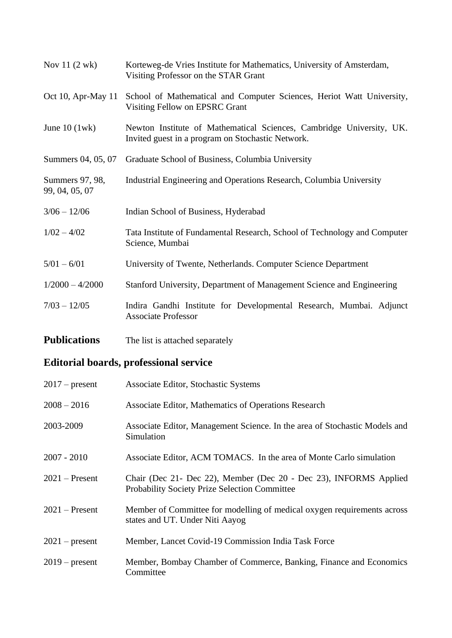| Nov $11(2 \text{ wk})$            | Korteweg-de Vries Institute for Mathematics, University of Amsterdam,<br>Visiting Professor on the STAR Grant             |
|-----------------------------------|---------------------------------------------------------------------------------------------------------------------------|
| Oct 10, Apr-May 11                | School of Mathematical and Computer Sciences, Heriot Watt University,<br>Visiting Fellow on EPSRC Grant                   |
| June $10$ (1wk)                   | Newton Institute of Mathematical Sciences, Cambridge University, UK.<br>Invited guest in a program on Stochastic Network. |
| Summers 04, 05, 07                | Graduate School of Business, Columbia University                                                                          |
| Summers 97, 98,<br>99, 04, 05, 07 | Industrial Engineering and Operations Research, Columbia University                                                       |
| $3/06 - 12/06$                    | Indian School of Business, Hyderabad                                                                                      |
| $1/02 - 4/02$                     | Tata Institute of Fundamental Research, School of Technology and Computer<br>Science, Mumbai                              |
| $5/01 - 6/01$                     | University of Twente, Netherlands. Computer Science Department                                                            |
| $1/2000 - 4/2000$                 | Stanford University, Department of Management Science and Engineering                                                     |
| $7/03 - 12/05$                    | Indira Gandhi Institute for Developmental Research, Mumbai. Adjunct<br><b>Associate Professor</b>                         |

**Publications** The list is attached separately

# **Editorial boards, professional service**

| $2017$ – present | Associate Editor, Stochastic Systems                                                                                      |
|------------------|---------------------------------------------------------------------------------------------------------------------------|
| $2008 - 2016$    | Associate Editor, Mathematics of Operations Research                                                                      |
| 2003-2009        | Associate Editor, Management Science. In the area of Stochastic Models and<br>Simulation                                  |
| $2007 - 2010$    | Associate Editor, ACM TOMACS. In the area of Monte Carlo simulation                                                       |
| $2021$ – Present | Chair (Dec 21- Dec 22), Member (Dec 20 - Dec 23), INFORMS Applied<br><b>Probability Society Prize Selection Committee</b> |
| $2021$ – Present | Member of Committee for modelling of medical oxygen requirements across<br>states and UT. Under Niti Aayog                |
| $2021$ – present | Member, Lancet Covid-19 Commission India Task Force                                                                       |
| $2019$ – present | Member, Bombay Chamber of Commerce, Banking, Finance and Economics<br>Committee                                           |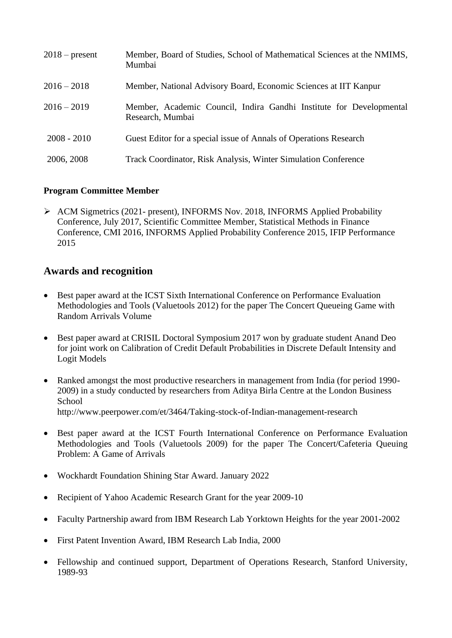| $2018$ – present | Member, Board of Studies, School of Mathematical Sciences at the NMIMS,<br>Mumbai       |
|------------------|-----------------------------------------------------------------------------------------|
| $2016 - 2018$    | Member, National Advisory Board, Economic Sciences at IIT Kanpur                        |
| $2016 - 2019$    | Member, Academic Council, Indira Gandhi Institute for Developmental<br>Research, Mumbai |
| $2008 - 2010$    | Guest Editor for a special issue of Annals of Operations Research                       |
| 2006, 2008       | Track Coordinator, Risk Analysis, Winter Simulation Conference                          |

## **Program Committee Member**

➢ ACM Sigmetrics (2021- present), INFORMS Nov. 2018, INFORMS Applied Probability Conference, July 2017, Scientific Committee Member, Statistical Methods in Finance Conference, CMI 2016, INFORMS Applied Probability Conference 2015, IFIP Performance 2015

## **Awards and recognition**

- Best paper award at the ICST Sixth International Conference on Performance Evaluation Methodologies and Tools (Valuetools 2012) for the paper The Concert Queueing Game with Random Arrivals Volume
- Best paper award at CRISIL Doctoral Symposium 2017 won by graduate student Anand Deo for joint work on Calibration of Credit Default Probabilities in Discrete Default Intensity and Logit Models
- Ranked amongst the most productive researchers in management from India (for period 1990-2009) in a study conducted by researchers from Aditya Birla Centre at the London Business **School** <http://www.peerpower.com/et/3464/Taking-stock-of-Indian-management-research>
- Best paper award at the ICST Fourth International Conference on Performance Evaluation Methodologies and Tools (Valuetools 2009) for the paper The Concert/Cafeteria Queuing Problem: A Game of Arrivals
- Wockhardt Foundation Shining Star Award. January 2022
- Recipient of Yahoo Academic Research Grant for the year 2009-10
- Faculty Partnership award from IBM Research Lab Yorktown Heights for the year 2001-2002
- First Patent Invention Award, IBM Research Lab India, 2000
- Fellowship and continued support, Department of Operations Research, Stanford University, 1989-93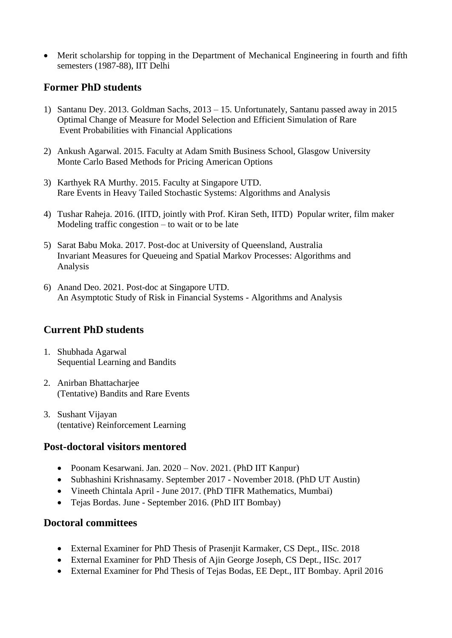• Merit scholarship for topping in the Department of Mechanical Engineering in fourth and fifth semesters (1987-88), IIT Delhi

## **Former PhD students**

- 1) Santanu Dey. 2013. Goldman Sachs, 2013 15. Unfortunately, Santanu passed away in 2015 Optimal Change of Measure for Model Selection and Efficient Simulation of Rare Event Probabilities with Financial Applications
- 2) Ankush Agarwal. 2015. Faculty at Adam Smith Business School, Glasgow University Monte Carlo Based Methods for Pricing American Options
- 3) Karthyek RA Murthy. 2015. Faculty at Singapore UTD. Rare Events in Heavy Tailed Stochastic Systems: Algorithms and Analysis
- 4) Tushar Raheja. 2016. (IITD, jointly with Prof. Kiran Seth, IITD) Popular writer, film maker Modeling traffic congestion – to wait or to be late
- 5) Sarat Babu Moka. 2017. Post-doc at University of Queensland, Australia Invariant Measures for Queueing and Spatial Markov Processes: Algorithms and Analysis
- 6) Anand Deo. 2021. Post-doc at Singapore UTD. An Asymptotic Study of Risk in Financial Systems - Algorithms and Analysis

## **Current PhD students**

- 1. Shubhada Agarwal Sequential Learning and Bandits
- 2. Anirban Bhattacharjee (Tentative) Bandits and Rare Events
- 3. Sushant Vijayan (tentative) Reinforcement Learning

## **Post-doctoral visitors mentored**

- Poonam Kesarwani. Jan. 2020 Nov. 2021. (PhD IIT Kanpur)
- Subhashini Krishnasamy. September 2017 November 2018. (PhD UT Austin)
- Vineeth Chintala April June 2017. (PhD TIFR Mathematics, Mumbai)
- Tejas Bordas. June September 2016. (PhD IIT Bombay)

## **Doctoral committees**

- External Examiner for PhD Thesis of Prasenjit Karmaker, CS Dept., IISc. 2018
- External Examiner for PhD Thesis of Ajin George Joseph, CS Dept., IISc. 2017
- External Examiner for Phd Thesis of Tejas Bodas, EE Dept., IIT Bombay. April 2016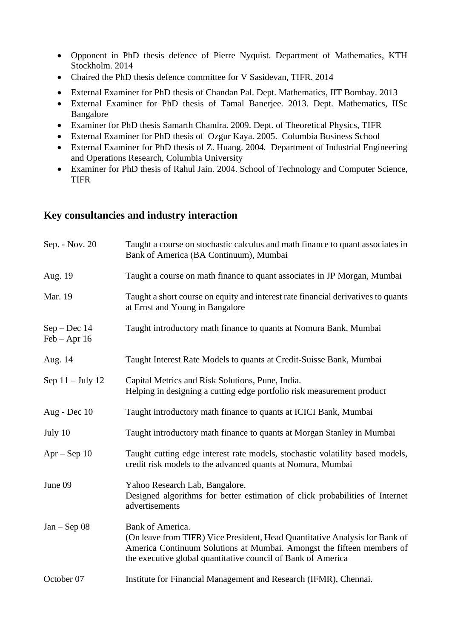- Opponent in PhD thesis defence of Pierre Nyquist. Department of Mathematics, KTH Stockholm. 2014
- Chaired the PhD thesis defence committee for V Sasidevan, TIFR. 2014
- External Examiner for PhD thesis of Chandan Pal. Dept. Mathematics, IIT Bombay. 2013
- External Examiner for PhD thesis of Tamal Banerjee. 2013. Dept. Mathematics, IISc Bangalore
- Examiner for PhD thesis Samarth Chandra. 2009. Dept. of Theoretical Physics, TIFR
- External Examiner for PhD thesis of Ozgur Kaya. 2005. Columbia Business School
- External Examiner for PhD thesis of Z. Huang. 2004. Department of Industrial Engineering and Operations Research, Columbia University
- Examiner for PhD thesis of Rahul Jain. 2004. School of Technology and Computer Science, TIFR

## **Key consultancies and industry interaction**

| Sep. - Nov. 20                   | Taught a course on stochastic calculus and math finance to quant associates in<br>Bank of America (BA Continuum), Mumbai                                                                                                                 |
|----------------------------------|------------------------------------------------------------------------------------------------------------------------------------------------------------------------------------------------------------------------------------------|
| Aug. 19                          | Taught a course on math finance to quant associates in JP Morgan, Mumbai                                                                                                                                                                 |
| Mar. 19                          | Taught a short course on equity and interest rate financial derivatives to quants<br>at Ernst and Young in Bangalore                                                                                                                     |
| $Sep - Dec 14$<br>$Feb - Apr 16$ | Taught introductory math finance to quants at Nomura Bank, Mumbai                                                                                                                                                                        |
| Aug. 14                          | Taught Interest Rate Models to quants at Credit-Suisse Bank, Mumbai                                                                                                                                                                      |
| Sep $11 - July 12$               | Capital Metrics and Risk Solutions, Pune, India.<br>Helping in designing a cutting edge portfolio risk measurement product                                                                                                               |
| Aug - Dec 10                     | Taught introductory math finance to quants at ICICI Bank, Mumbai                                                                                                                                                                         |
| July 10                          | Taught introductory math finance to quants at Morgan Stanley in Mumbai                                                                                                                                                                   |
| $Apr - Sep 10$                   | Taught cutting edge interest rate models, stochastic volatility based models,<br>credit risk models to the advanced quants at Nomura, Mumbai                                                                                             |
| June 09                          | Yahoo Research Lab, Bangalore.<br>Designed algorithms for better estimation of click probabilities of Internet<br>advertisements                                                                                                         |
| $Jan - Sep$ 08                   | Bank of America.<br>(On leave from TIFR) Vice President, Head Quantitative Analysis for Bank of<br>America Continuum Solutions at Mumbai. Amongst the fifteen members of<br>the executive global quantitative council of Bank of America |
| October 07                       | Institute for Financial Management and Research (IFMR), Chennai.                                                                                                                                                                         |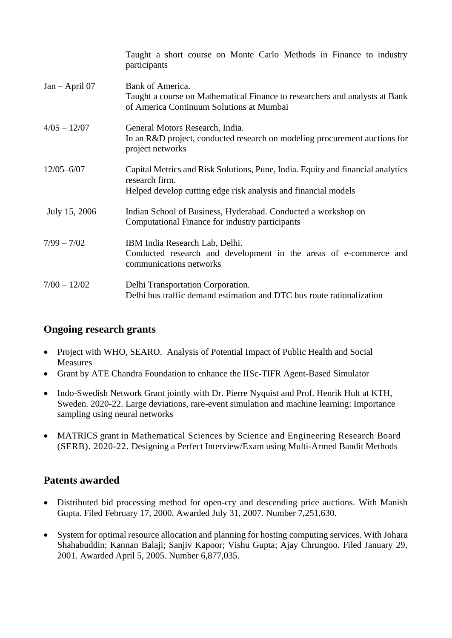|                  | Taught a short course on Monte Carlo Methods in Finance to industry<br>participants                                                                                 |
|------------------|---------------------------------------------------------------------------------------------------------------------------------------------------------------------|
| $Jan - April 07$ | Bank of America.<br>Taught a course on Mathematical Finance to researchers and analysts at Bank<br>of America Continuum Solutions at Mumbai                         |
| $4/05 - 12/07$   | General Motors Research, India.<br>In an R&D project, conducted research on modeling procurement auctions for<br>project networks                                   |
| $12/05 - 6/07$   | Capital Metrics and Risk Solutions, Pune, India. Equity and financial analytics<br>research firm.<br>Helped develop cutting edge risk analysis and financial models |
| July 15, 2006    | Indian School of Business, Hyderabad. Conducted a workshop on<br>Computational Finance for industry participants                                                    |
| $7/99 - 7/02$    | IBM India Research Lab, Delhi.<br>Conducted research and development in the areas of e-commerce and<br>communications networks                                      |
| $7/00 - 12/02$   | Delhi Transportation Corporation.<br>Delhi bus traffic demand estimation and DTC bus route rationalization                                                          |

# **Ongoing research grants**

- Project with WHO, SEARO. Analysis of Potential Impact of Public Health and Social **Measures**
- Grant by ATE Chandra Foundation to enhance the IISc-TIFR Agent-Based Simulator
- Indo-Swedish Network Grant jointly with Dr. Pierre Nyquist and Prof. Henrik Hult at KTH, Sweden. 2020-22. Large deviations, rare-event simulation and machine learning: Importance sampling using neural networks
- MATRICS grant in Mathematical Sciences by Science and Engineering Research Board (SERB). 2020-22. Designing a Perfect Interview/Exam using Multi-Armed Bandit Methods

# **Patents awarded**

- Distributed bid processing method for open-cry and descending price auctions. With Manish Gupta. Filed February 17, 2000. Awarded July 31, 2007. Number 7,251,630.
- System for optimal resource allocation and planning for hosting computing services. With Johara Shahabuddin; Kannan Balaji; Sanjiv Kapoor; Vishu Gupta; Ajay Chrungoo. Filed January 29, 2001. Awarded April 5, 2005. Number 6,877,035.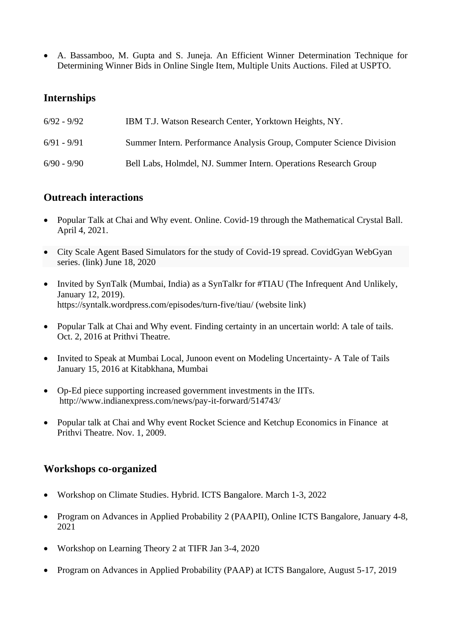• A. Bassamboo, M. Gupta and S. Juneja. An Efficient Winner Determination Technique for Determining Winner Bids in Online Single Item, Multiple Units Auctions. Filed at USPTO.

## **Internships**

| $6/92 - 9/92$ | IBM T.J. Watson Research Center, Yorktown Heights, NY.               |
|---------------|----------------------------------------------------------------------|
| $6/91 - 9/91$ | Summer Intern. Performance Analysis Group, Computer Science Division |
| $6/90 - 9/90$ | Bell Labs, Holmdel, NJ. Summer Intern. Operations Research Group     |

## **Outreach interactions**

- Popular Talk at Chai and Why event. Online. Covid-19 through the Mathematical Crystal Ball. April 4, 2021.
- City Scale Agent Based Simulators for the study of Covid-19 spread. CovidGyan WebGyan series. [\(link\)](https://www.ncbs.res.in/events/webgyan-prof-sandeep-juneja) June 18, 2020
- Invited by SynTalk (Mumbai, India) as a SynTalkr for #TIAU (The Infrequent And Unlikely, January 12, 2019). <https://syntalk.wordpress.com/episodes/turn-five/tiau/> (website link)
- Popular Talk at Chai and Why event. Finding certainty in an uncertain world: A tale of tails. Oct. 2, 2016 at Prithvi Theatre.
- Invited to Speak at Mumbai Local, Junoon event on Modeling Uncertainty- A Tale of Tails January 15, 2016 at Kitabkhana, Mumbai
- Op-Ed piece supporting increased government investments in the IITs. <http://www.indianexpress.com/news/pay-it-forward/514743/>
- Popular talk at Chai and Why event Rocket Science and Ketchup Economics in Finance at Prithvi Theatre. Nov. 1, 2009.

## **Workshops co-organized**

- Workshop on Climate Studies. Hybrid. ICTS Bangalore. March 1-3, 2022
- Program on Advances in Applied Probability 2 (PAAPII), Online ICTS Bangalore, January 4-8, 2021
- Workshop on Learning Theory 2 at TIFR Jan 3-4, 2020
- Program on Advances in Applied Probability (PAAP) at ICTS Bangalore, August 5-17, 2019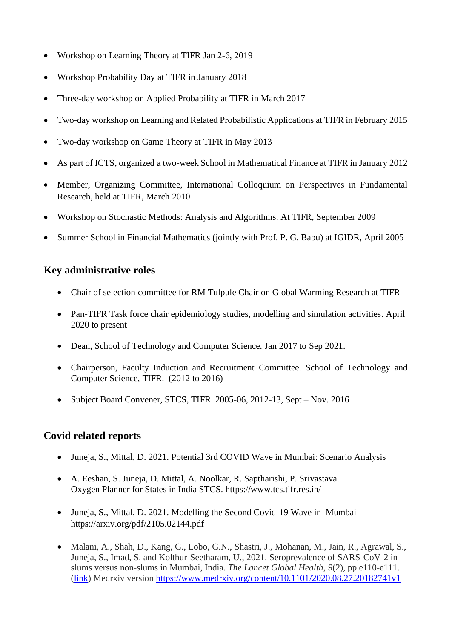- Workshop on Learning Theory at TIFR Jan 2-6, 2019
- Workshop Probability Day at TIFR in January 2018
- Three-day workshop on Applied Probability at TIFR in March 2017
- Two-day workshop on Learning and Related Probabilistic Applications at TIFR in February 2015
- Two-day workshop on Game Theory at TIFR in May 2013
- As part of ICTS, organized a two-week School in Mathematical Finance at TIFR in January 2012
- Member, Organizing Committee, International Colloquium on Perspectives in Fundamental Research, held at TIFR, March 2010
- Workshop on Stochastic Methods: Analysis and Algorithms. At TIFR, September 2009
- Summer School in Financial Mathematics (jointly with Prof. P. G. Babu) at IGIDR, April 2005

# **Key administrative roles**

- Chair of selection committee for RM Tulpule Chair on Global Warming Research at TIFR
- Pan-TIFR Task force chair epidemiology studies, modelling and simulation activities. April 2020 to present
- Dean, School of Technology and Computer Science. Jan 2017 to Sep 2021.
- Chairperson, Faculty Induction and Recruitment Committee. School of Technology and Computer Science, TIFR. (2012 to 2016)
- Subject Board Convener, STCS, TIFR. 2005-06, 2012-13, Sept Nov. 2016

# **Covid related reports**

- Juneja, S., Mittal, D. 2021. Potential 3rd COVID Wave in Mumbai: Scenario Analysis
- A. Eeshan, S. Juneja, D. Mittal, A. Noolkar, R. Saptharishi, P. Srivastava. Oxygen Planner for States in India STCS. https://www.tcs.tifr.res.in/
- Juneja, S., Mittal, D. 2021. Modelling the Second Covid-19 Wave in Mumbai <https://arxiv.org/pdf/2105.02144.pdf>
- Malani, A., Shah, D., Kang, G., Lobo, G.N., Shastri, J., Mohanan, M., Jain, R., Agrawal, S., Juneja, S., Imad, S. and Kolthur-Seetharam, U., 2021. Seroprevalence of SARS-CoV-2 in slums versus non-slums in Mumbai, India. *The Lancet Global Health*, *9*(2), pp.e110-e111. [\(link\)](https://www.thelancet.com/journals/langlo/article/PIIS2214-109X(20)30467-8/fulltext) Medrxiv version <https://www.medrxiv.org/content/10.1101/2020.08.27.20182741v1>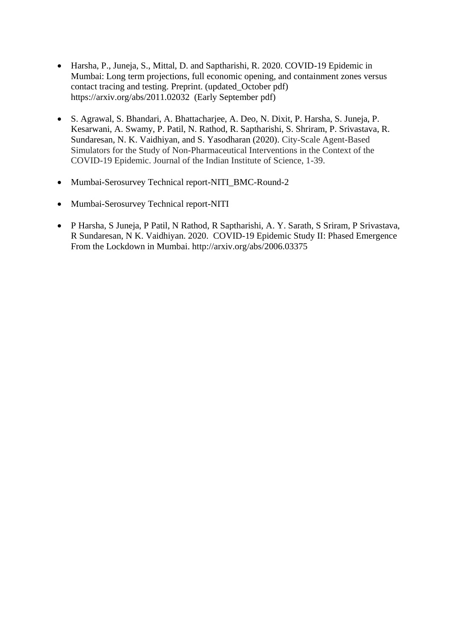- Harsha, P., Juneja, S., Mittal, D. and Saptharishi, R. 2020. COVID-19 Epidemic in Mumbai: Long term projections, full economic opening, and containment zones versus contact tracing and testing. Preprint. [\(updated\\_October pdf\)](http://www.tcs.tifr.res.in/~sandeepj/avail_papers/Mumbai_October_Report.pdf) <https://arxiv.org/abs/2011.02032>[\(Early September pdf\)](http://www.tcs.tifr.res.in/~sandeepj/avail_papers/Mumbai_September_Report.pdf)
- S. Agrawal, S. Bhandari, A. Bhattacharjee, A. Deo, N. Dixit, P. Harsha, S. Juneja, P. Kesarwani, A. Swamy, P. Patil, N. Rathod, R. Saptharishi, S. Shriram, P. Srivastava, R. Sundaresan, N. K. Vaidhiyan, and S. Yasodharan (2020). City-Scale Agent-Based Simulators for the Study of Non-Pharmaceutical Interventions in the Context of the COVID-19 Epidemic. Journal of the Indian Institute of Science, 1-39.
- [Mumbai-Serosurvey Technical report-NITI\\_BMC-Round-2](http://www.tcs.tifr.res.in/~sandeepj/avail_papers/Mumbai-Serosurvey%20Technical%20report-NITI_BMC-Round-2%20for%20TIFR%20website.pdf)
- [Mumbai-Serosurvey Technical report-NITI](http://www.tcs.tifr.res.in/~sandeepj/avail_papers/Mumbai-Serosurvey%20Technical%20report-NITI.pdf)
- P Harsha, S Juneja, P Patil, N Rathod, R Saptharishi, A. Y. Sarath, S Sriram, P Srivastava, R Sundaresan, N K. Vaidhiyan. 2020. COVID-19 Epidemic Study II: Phased Emergence From the Lockdown in Mumbai.<http://arxiv.org/abs/2006.03375>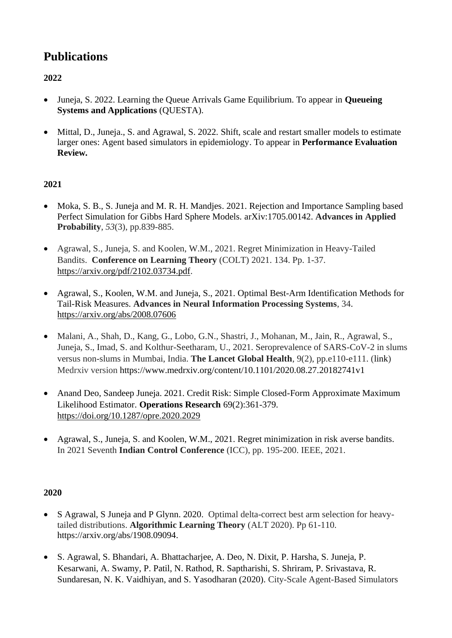# **Publications**

# **2022**

- Juneja, S. 2022. Learning the Queue Arrivals Game Equilibrium. To appear in **Queueing Systems and Applications** (QUESTA).
- Mittal, D., Juneja., S. and Agrawal, S. 2022. Shift, scale and restart smaller models to estimate larger ones: Agent based simulators in epidemiology. To appear in **Performance Evaluation Review.**

## **2021**

- Moka, S. B., S. Juneja and M. R. H. Mandies. 2021. Rejection and Importance Sampling based Perfect Simulation for Gibbs Hard Sphere Models. [arXiv:1705.00142.](https://arxiv.org/abs/1705.00142) **Advances in Applied Probability**, *53*(3), pp.839-885.
- Agrawal, S., Juneja, S. and Koolen, W.M., 2021. Regret Minimization in Heavy-Tailed Bandits. **Conference on Learning Theory** (COLT) 2021. 134. Pp. 1-37. [https://arxiv.org/pdf/2102.03734.pdf.](https://arxiv.org/pdf/2102.03734.pdf)
- Agrawal, S., Koolen, W.M. and Juneja, S., 2021. Optimal Best-Arm Identification Methods for Tail-Risk Measures. **Advances in Neural Information Processing Systems**, 34. <https://arxiv.org/abs/2008.07606>
- Malani, A., Shah, D., Kang, G., Lobo, G.N., Shastri, J., Mohanan, M., Jain, R., Agrawal, S., Juneja, S., Imad, S. and Kolthur-Seetharam, U., 2021. Seroprevalence of SARS-CoV-2 in slums versus non-slums in Mumbai, India. **The Lancet Global Health**, 9(2), pp.e110-e111. [\(link\)](https://www.thelancet.com/journals/langlo/article/PIIS2214-109X(20)30467-8/fulltext) Medrxiv version <https://www.medrxiv.org/content/10.1101/2020.08.27.20182741v1>
- Anand Deo, Sandeep Juneja. 2021. Credit Risk: Simple Closed-Form Approximate Maximum Likelihood Estimator. **Operations Research** 69(2):361-379. <https://doi.org/10.1287/opre.2020.2029>
- Agrawal, S., Juneja, S. and Koolen, W.M., 2021. Regret minimization in risk averse bandits. In 2021 Seventh **Indian Control Conference** (ICC), pp. 195-200. IEEE, 2021.

- S Agrawal, S Juneja and P Glynn. 2020. Optimal delta-correct best arm selection for heavytailed distributions. **Algorithmic Learning Theory** (ALT 2020). Pp 61-110. [https://arxiv.org/abs/1908.09094.](https://arxiv.org/abs/1908.09094)
- S. Agrawal, S. Bhandari, A. Bhattacharjee, A. Deo, N. Dixit, P. Harsha, S. Juneja, P. Kesarwani, A. Swamy, P. Patil, N. Rathod, R. Saptharishi, S. Shriram, P. Srivastava, R. Sundaresan, N. K. Vaidhiyan, and S. Yasodharan (2020). City-Scale Agent-Based Simulators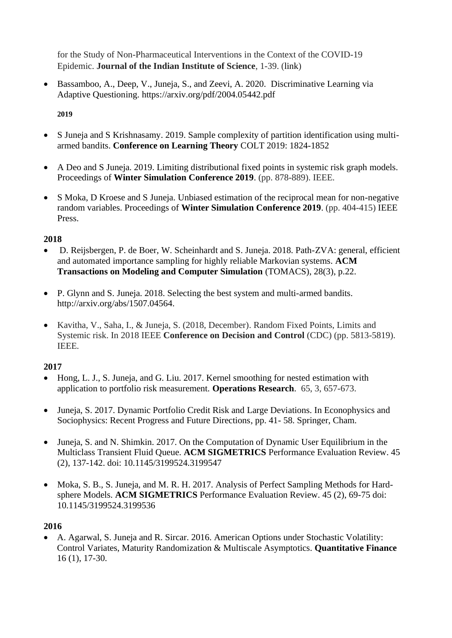for the Study of Non-Pharmaceutical Interventions in the Context of the COVID-19 Epidemic. **Journal of the Indian Institute of Science**, 1-39. [\(link\)](https://link.springer.com/article/10.1007/s41745-020-00211-3)

• Bassamboo, A., Deep, V., Juneja, S., and Zeevi, A. 2020. Discriminative Learning via Adaptive Questioning.<https://arxiv.org/pdf/2004.05442.pdf>

**2019**

- S Juneja and S Krishnasamy. 2019. Sample complexity of partition identification using multiarmed bandits. **Conference on Learning Theory** COLT 2019: 1824-1852
- A Deo and S Juneja. 2019. Limiting distributional fixed points in systemic risk graph models. Proceedings of **Winter Simulation Conference 2019**. (pp. 878-889). IEEE.
- S Moka, D Kroese and S Juneja. Unbiased estimation of the reciprocal mean for non-negative random variables. Proceedings of **Winter Simulation Conference 2019**. (pp. 404-415) IEEE Press.

## **2018**

- D. Reijsbergen, P. de Boer, W. Scheinhardt and S. Juneja. 2018. Path-ZVA: general, efficient and automated importance sampling for highly reliable Markovian systems. **ACM Transactions on Modeling and Computer Simulation** (TOMACS), 28(3), p.22.
- P. Glynn and S. Juneja. 2018. Selecting the best system and multi-armed bandits. [http://arxiv.org/abs/1507.04564.](http://arxiv.org/abs/1507.04564)
- Kavitha, V., Saha, I., & Juneja, S. (2018, December). Random Fixed Points, Limits and Systemic risk. In 2018 IEEE **Conference on Decision and Control** (CDC) (pp. 5813-5819). IEEE.

## **2017**

- Hong, L. J., S. Juneja, and G. Liu. 2017. Kernel smoothing for nested estimation with application to portfolio risk measurement. **Operations Research**. 65, 3, 657-673.
- Juneja, S. 2017. Dynamic Portfolio Credit Risk and Large Deviations. In Econophysics and Sociophysics: Recent Progress and Future Directions, pp. 41- 58. Springer, Cham.
- Juneja, S. and N. Shimkin. 2017. On the Computation of Dynamic User Equilibrium in the Multiclass Transient Fluid Queue. **ACM SIGMETRICS** Performance Evaluation Review. 45 (2), 137-142. doi: 10.1145/3199524.3199547
- Moka, S. B., S. Juneja, and M. R. H. 2017. Analysis of Perfect Sampling Methods for Hardsphere Models. **ACM SIGMETRICS** Performance Evaluation Review. 45 (2), 69-75 doi: 10.1145/3199524.3199536

## **2016**

• A. Agarwal, S. Juneja and R. Sircar. 2016. American Options under Stochastic Volatility: Control Variates, Maturity Randomization & Multiscale Asymptotics. **Quantitative Finance** 16 (1), 17-30.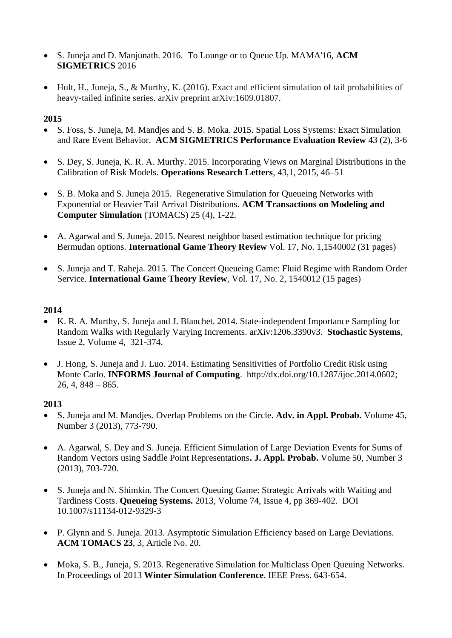- S. Juneja and D. Manjunath. 2016. To Lounge or to Queue Up. MAMA'16, **ACM SIGMETRICS** 2016
- Hult, H., Juneja, S., & Murthy, K. (2016). Exact and efficient simulation of tail probabilities of heavy-tailed infinite series. arXiv preprint arXiv:1609.01807.

- S. Foss, S. Juneja, M. Mandjes and S. B. Moka. 2015. Spatial Loss Systems: Exact Simulation and Rare Event Behavior. **ACM SIGMETRICS Performance Evaluation Review** 43 (2), 3-6
- S. Dey, S. Juneja, K. R. A. Murthy. 2015. Incorporating Views on Marginal Distributions in the Calibration of Risk Models. **Operations Research Letters**, 43,1, 2015, 46–51
- S. B. Moka and S. Juneja 2015. Regenerative Simulation for Queueing Networks with Exponential or Heavier Tail Arrival Distributions. **ACM Transactions on Modeling and Computer Simulation** (TOMACS) 25 (4), 1-22.
- A. Agarwal and S. Juneja. 2015. Nearest neighbor based estimation technique for pricing Bermudan options. **International Game Theory Review** Vol. 17, No. 1,1540002 (31 pages)
- S. Juneja and T. Raheja. 2015. The Concert Queueing Game: Fluid Regime with Random Order Service. **International Game Theory Review**, Vol. 17, No. 2, 1540012 (15 pages)

## **2014**

- K. R. A. Murthy, S. Juneja and J. Blanchet. 2014. State-independent Importance Sampling for Random Walks with Regularly Varying Increments. [arXiv:1206.3390v3.](http://arxiv.org/abs/1206.3390v3) **Stochastic Systems**, Issue 2, Volume 4, 321-374.
- J. Hong, S. Juneja and J. Luo. 2014. Estimating Sensitivities of Portfolio Credit Risk using Monte Carlo. **INFORMS Journal of Computing**. [http://dx.doi.org/10.1287/ijoc.2014.0602;](http://dx.doi.org/10.1287/ijoc.2014.0602)  $26, 4, 848 - 865.$

- S. Juneja and M. Mandjes. Overlap Problems on the Circle**. [Adv. in Appl. Probab.](http://projecteuclid.org/handle/euclid.aap)** Volume 45, Number 3 (2013), 773-790.
- A. Agarwal, S. Dey and S. Juneja. Efficient Simulation of Large Deviation Events for Sums of Random Vectors using Saddle Point Representations**. [J. Appl. Probab.](http://projecteuclid.org/handle/euclid.jap)** Volume 50, Number 3 (2013), 703-720.
- S. Juneja and N. Shimkin. The Concert Queuing Game: Strategic Arrivals with Waiting and Tardiness Costs. **Queueing Systems.** 2013, Volume 74, [Issue 4,](http://link.springer.com/journal/11134/74/4/page/1) pp 369-402. DOI 10.1007/s11134-012-9329-3
- P. Glynn and S. Juneja. 2013. Asymptotic Simulation Efficiency based on Large Deviations. **ACM TOMACS 23**, 3, Article No. 20.
- Moka, S. B., Juneja, S. 2013. Regenerative Simulation for Multiclass Open Queuing Networks. In Proceedings of 2013 **Winter Simulation Conference**. IEEE Press. 643-654.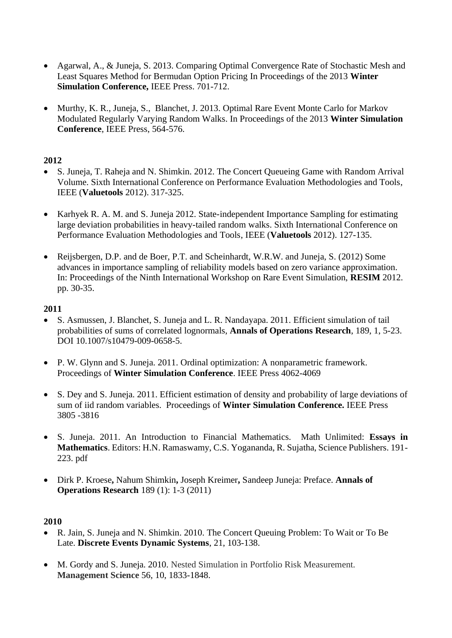- Agarwal, A., & Juneja, S. 2013. Comparing Optimal Convergence Rate of Stochastic Mesh and Least Squares Method for Bermudan Option Pricing In Proceedings of the 2013 **Winter Simulation Conference,** IEEE Press. 701-712.
- Murthy, K. R., Juneja, S., Blanchet, J. 2013. Optimal Rare Event Monte Carlo for Markov Modulated Regularly Varying Random Walks. In Proceedings of the 2013 **Winter Simulation Conference**, IEEE Press, 564-576.

- S. Juneja, T. Raheja and N. Shimkin. 2012. The Concert Queueing Game with Random Arrival Volume. Sixth International Conference on Performance Evaluation Methodologies and Tools, IEEE (**Valuetools** 2012). 317-325.
- Karhyek R. A. M. and S. Juneja 2012. State-independent Importance Sampling for estimating large deviation probabilities in heavy-tailed random walks. Sixth International Conference on Performance Evaluation Methodologies and Tools, IEEE (**Valuetools** 2012). 127-135.
- Reijsbergen, D.P. and de Boer, P.T. and Scheinhardt, W.R.W. and Juneja, S. (2012) Some advances in importance sampling of reliability models based on zero variance approximation. In: Proceedings of the Ninth International Workshop on Rare Event Simulation, **RESIM** 2012. pp. 30-35.

#### **2011**

- S. Asmussen, J. Blanchet, S. Juneja and L. R. Nandayapa. 2011. Efficient simulation of tail probabilities of sums of correlated lognormals, **Annals of Operations Research**, 189, 1, 5-23. DOI 10.1007/s10479-009-0658-5.
- P. W. Glynn and S. Juneja. 2011. Ordinal optimization: A nonparametric framework. Proceedings of **Winter Simulation Conference**. IEEE Press 4062-4069
- S. Dey and S. Juneja. 2011. Efficient estimation of density and probability of large deviations of sum of iid random variables. Proceedings of **Winter Simulation Conference.** IEEE Press 3805 -3816
- S. Juneja. 2011. An Introduction to Financial Mathematics. Math Unlimited: **Essays in Mathematics**. Editors: H.N. Ramaswamy, C.S. Yogananda, R. Sujatha, Science Publishers. 191- 223. [pdf](http://www.tcs.tifr.res.in/~sandeepj/avail_papers/chapter.pdf)
- Dirk P. Kroese**,** Nahum Shimkin**,** Joseph Kreimer**,** Sandeep Juneja: Preface. **Annals of Operations Research** 189 (1): 1-3 (2011)

- R. Jain, S. Juneja and N. Shimkin. 2010. The Concert Queuing Problem: To Wait or To Be Late. **Discrete Events Dynamic Systems**, 21, 103-138.
- M. Gordy and S. Juneja. 2010. Nested Simulation in Portfolio Risk Measurement. **Management Science** 56, 10, 1833-1848.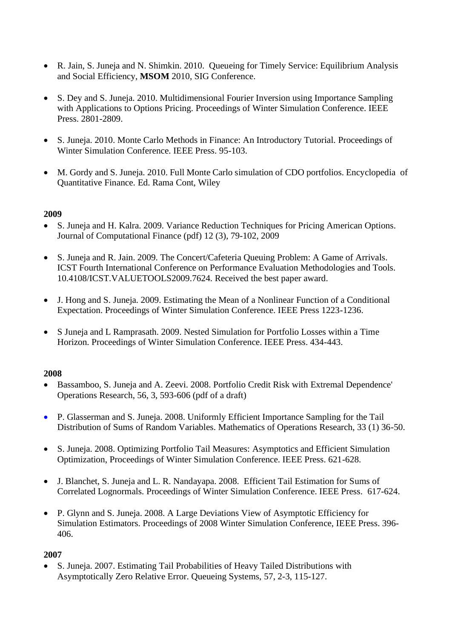- R. Jain, S. Juneja and N. Shimkin. 2010. Queueing for Timely Service: Equilibrium Analysis and Social Efficiency, **MSOM** 2010, SIG Conference.
- S. Dey and S. Juneja. 2010. Multidimensional Fourier Inversion using Importance Sampling with Applications to Options Pricing. Proceedings of Winter Simulation Conference. IEEE Press. 2801-2809.
- S. Juneja. 2010. Monte Carlo Methods in Finance: An Introductory Tutorial. Proceedings of Winter Simulation Conference. IEEE Press. 95-103.
- M. Gordy and S. Juneja. 2010. Full Monte Carlo simulation of CDO portfolios. Encyclopedia of Quantitative Finance. Ed. Rama Cont, Wiley

- S. Juneja and H. Kalra. 2009. Variance Reduction Techniques for Pricing American Options. Journal of Computational Finance [\(pdf\)](http://www.tcs.tifr.res.in/~sandeepj/avail_papers/American_options.pdf) 12 (3), 79-102, 2009
- S. Juneja and R. Jain. 2009. The Concert/Cafeteria Queuing Problem: A Game of Arrivals. ICST Fourth International Conference on Performance Evaluation Methodologies and Tools. 10.4108/ICST.VALUETOOLS2009.7624. Received the best paper award.
- J. Hong and S. Juneja. 2009. Estimating the Mean of a Nonlinear Function of a Conditional Expectation. Proceedings of Winter Simulation Conference. IEEE Press 1223-1236.
- S Juneja and L Ramprasath. 2009. Nested Simulation for Portfolio Losses within a Time Horizon. Proceedings of Winter Simulation Conference. IEEE Press. 434-443.

#### **2008**

- Bassamboo, S. Juneja and A. Zeevi. 2008. Portfolio Credit Risk with Extremal Dependence' Operations Research, 56, 3, 593-606 [\(pdf of a draft\)](http://www.tcs.tifr.res.in/~sandeepj/avail_papers/credit-risk-rev.pdf)
- P. Glasserman and S. Juneja. 2008. Uniformly Efficient Importance Sampling for the Tail Distribution of Sums of Random Variables. Mathematics of Operations Research, 33 (1) 36-50.
- S. Juneja. 2008. Optimizing Portfolio Tail Measures: Asymptotics and Efficient Simulation Optimization, Proceedings of Winter Simulation Conference. IEEE Press. 621-628.
- J. Blanchet, S. Juneja and L. R. Nandayapa. 2008. Efficient Tail Estimation for Sums of Correlated Lognormals. Proceedings of Winter Simulation Conference. IEEE Press. 617-624.
- P. Glynn and S. Juneja. 2008. A Large Deviations View of Asymptotic Efficiency for Simulation Estimators. Proceedings of 2008 Winter Simulation Conference, IEEE Press. 396- 406.

## **2007**

• S. Juneja. 2007. Estimating Tail Probabilities of Heavy Tailed Distributions with Asymptotically Zero Relative Error. Queueing Systems, 57, 2-3, 115-127.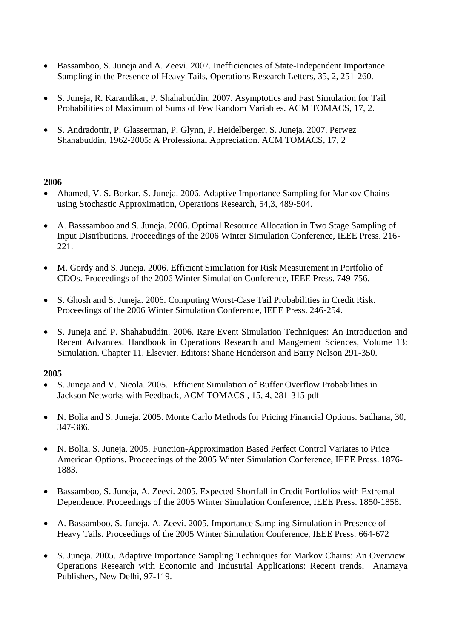- Bassamboo, S. Juneja and A. Zeevi. 2007. Inefficiencies of State-Independent Importance Sampling in the Presence of Heavy Tails, Operations Research Letters, 35, 2, 251-260.
- S. Juneja, R. Karandikar, P. Shahabuddin. 2007. Asymptotics and Fast Simulation for Tail Probabilities of Maximum of Sums of Few Random Variables. ACM TOMACS, 17, 2.
- S. Andradottir, P. Glasserman, P. Glynn, P. Heidelberger, S. Juneja. 2007. Perwez Shahabuddin, 1962-2005: A Professional Appreciation. ACM TOMACS, 17, 2

- Ahamed, V. S. Borkar, S. Juneja. 2006. Adaptive Importance Sampling for Markov Chains using Stochastic Approximation, Operations Research, 54,3, 489-504.
- A. Basssamboo and S. Juneja. 2006. Optimal Resource Allocation in Two Stage Sampling of Input Distributions. Proceedings of the 2006 Winter Simulation Conference, IEEE Press. 216- 221.
- M. Gordy and S. Juneja. 2006. Efficient Simulation for Risk Measurement in Portfolio of CDOs. Proceedings of the 2006 Winter Simulation Conference, IEEE Press. 749-756.
- S. Ghosh and S. Juneja. 2006. Computing Worst-Case Tail Probabilities in Credit Risk. Proceedings of the 2006 Winter Simulation Conference, IEEE Press. 246-254.
- S. Juneja and P. Shahabuddin. 2006. Rare Event Simulation Techniques: An Introduction and Recent Advances. Handbook in Operations Research and Mangement Sciences, Volume 13: Simulation. Chapter 11. Elsevier. Editors: Shane Henderson and Barry Nelson 291-350.

- S. Juneja and V. Nicola. 2005. Efficient Simulation of Buffer Overflow Probabilities in Jackson Networks with Feedback, ACM TOMACS , 15, 4, 281-315 [pdf](http://www.tcs.tifr.res.in/~sandeepj/avail_papers/revision-tomacs.pdf)
- N. Bolia and S. Juneja. 2005. Monte Carlo Methods for Pricing Financial Options. Sadhana, 30, 347-386.
- N. Bolia, S. Juneja. 2005. Function-Approximation Based Perfect Control Variates to Price American Options. Proceedings of the 2005 Winter Simulation Conference, IEEE Press. 1876- 1883.
- Bassamboo, S. Juneja, A. Zeevi. 2005. Expected Shortfall in Credit Portfolios with Extremal Dependence. Proceedings of the 2005 Winter Simulation Conference, IEEE Press. 1850-1858.
- A. Bassamboo, S. Juneja, A. Zeevi. 2005. Importance Sampling Simulation in Presence of Heavy Tails. Proceedings of the 2005 Winter Simulation Conference, IEEE Press. 664-672
- S. Juneja. 2005. Adaptive Importance Sampling Techniques for Markov Chains: An Overview. Operations Research with Economic and Industrial Applications: Recent trends, Anamaya Publishers, New Delhi, 97-119.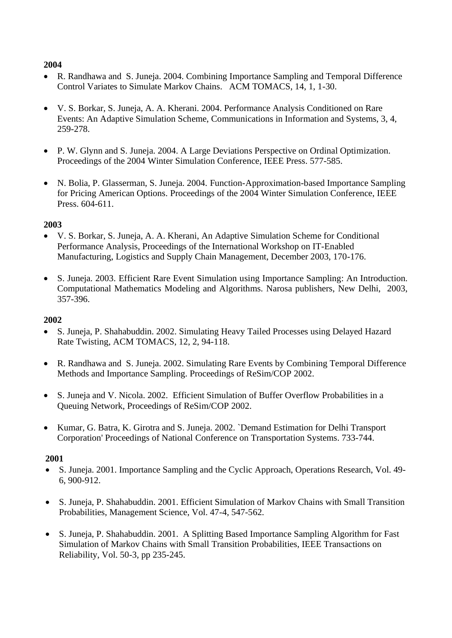- R. Randhawa and S. Juneja. 2004. Combining Importance Sampling and Temporal Difference Control Variates to Simulate Markov Chains. ACM TOMACS, 14, 1, 1-30.
- V. S. Borkar, S. Juneja, A. A. Kherani. 2004. Performance Analysis Conditioned on Rare Events: An Adaptive Simulation Scheme, Communications in Information and Systems, 3, 4, 259-278.
- P. W. Glynn and S. Juneja. 2004. A Large Deviations Perspective on Ordinal Optimization. Proceedings of the 2004 Winter Simulation Conference, IEEE Press. 577-585.
- N. Bolia, P. Glasserman, S. Juneja. 2004. Function-Approximation-based Importance Sampling for Pricing American Options. Proceedings of the 2004 Winter Simulation Conference, IEEE Press. 604-611.

## **2003**

- V. S. Borkar, S. Juneja, A. A. Kherani, An Adaptive Simulation Scheme for Conditional Performance Analysis, Proceedings of the International Workshop on IT-Enabled Manufacturing, Logistics and Supply Chain Management, December 2003, 170-176.
- S. Juneja. 2003. Efficient Rare Event Simulation using Importance Sampling: An Introduction. Computational Mathematics Modeling and Algorithms. Narosa publishers, New Delhi, 2003, 357-396.

#### **2002**

- S. Juneja, P. Shahabuddin. 2002. Simulating Heavy Tailed Processes using Delayed Hazard Rate Twisting, ACM TOMACS, 12, 2, 94-118.
- R. Randhawa and S. Juneja. 2002. Simulating Rare Events by Combining Temporal Difference Methods and Importance Sampling. Proceedings of ReSim/COP 2002.
- S. Juneja and V. Nicola. 2002. Efficient Simulation of Buffer Overflow Probabilities in a Queuing Network, Proceedings of ReSim/COP 2002.
- Kumar, G. Batra, K. Girotra and S. Juneja. 2002. `Demand Estimation for Delhi Transport Corporation' Proceedings of National Conference on Transportation Systems. 733-744.

- S. Juneja. 2001. Importance Sampling and the Cyclic Approach, Operations Research, Vol. 49- 6, 900-912.
- S. Juneja, P. Shahabuddin. 2001. Efficient Simulation of Markov Chains with Small Transition Probabilities, Management Science, Vol. 47-4, 547-562.
- S. Juneja, P. Shahabuddin. 2001. A Splitting Based Importance Sampling Algorithm for Fast Simulation of Markov Chains with Small Transition Probabilities, IEEE Transactions on Reliability, Vol. 50-3, pp 235-245.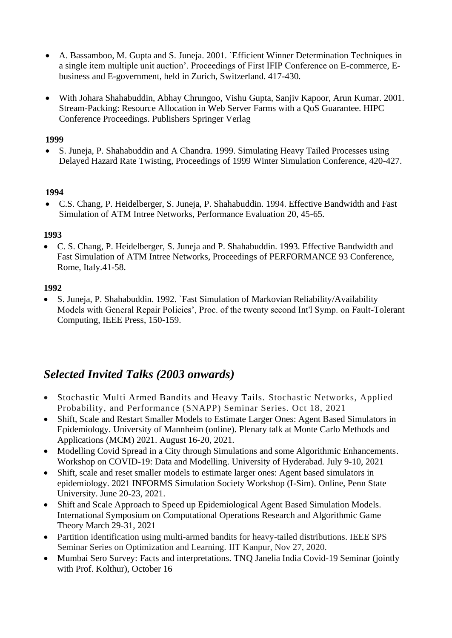- A. Bassamboo, M. Gupta and S. Juneja. 2001. `Efficient Winner Determination Techniques in a single item multiple unit auction'. Proceedings of First IFIP Conference on E-commerce, Ebusiness and E-government, held in Zurich, Switzerland. 417-430.
- With Johara Shahabuddin, Abhay Chrungoo, Vishu Gupta, Sanjiv Kapoor, Arun Kumar. 2001. Stream-Packing: Resource Allocation in Web Server Farms with a QoS Guarantee. HIPC Conference Proceedings. Publishers Springer Verlag

• S. Juneja, P. Shahabuddin and A Chandra. 1999. Simulating Heavy Tailed Processes using Delayed Hazard Rate Twisting, Proceedings of 1999 Winter Simulation Conference, 420-427.

#### **1994**

• C.S. Chang, P. Heidelberger, S. Juneja, P. Shahabuddin. 1994. Effective Bandwidth and Fast Simulation of ATM Intree Networks, Performance Evaluation 20, 45-65.

## **1993**

• C. S. Chang, P. Heidelberger, S. Juneja and P. Shahabuddin. 1993. Effective Bandwidth and Fast Simulation of ATM Intree Networks, Proceedings of PERFORMANCE 93 Conference, Rome, Italy.41-58.

#### **1992**

• S. Juneja, P. Shahabuddin. 1992. `Fast Simulation of Markovian Reliability/Availability Models with General Repair Policies', Proc. of the twenty second Int'l Symp. on Fault-Tolerant Computing, IEEE Press, 150-159.

# *Selected Invited Talks (2003 onwards)*

- Stochastic Multi Armed Bandits and Heavy Tails. Stochastic Networks, Applied Probability, and Performance (SNAPP) Seminar Series. Oct 18, 2021
- Shift, Scale and Restart Smaller Models to Estimate Larger Ones: Agent Based Simulators in Epidemiology. University of Mannheim (online). Plenary talk at Monte Carlo Methods and Applications (MCM) 2021. August 16-20, 2021.
- Modelling Covid Spread in a City through Simulations and some Algorithmic Enhancements. Workshop on COVID-19: Data and Modelling. University of Hyderabad. July 9-10, 2021
- Shift, scale and reset smaller models to estimate larger ones: Agent based simulators in epidemiology. 2021 INFORMS Simulation Society Workshop (I-Sim). Online, Penn State University. June 20-23, 2021.
- Shift and Scale Approach to Speed up Epidemiological Agent Based Simulation Models. International Symposium on Computational Operations Research and Algorithmic Game Theory March 29-31, 2021
- Partition identification using multi-armed bandits for heavy-tailed distributions. IEEE SPS Seminar Series on Optimization and Learning. IIT Kanpur, Nov 27, 2020.
- Mumbai Sero Survey: Facts and interpretations. TNQ Janelia India Covid-19 Seminar (jointly with Prof. Kolthur), October 16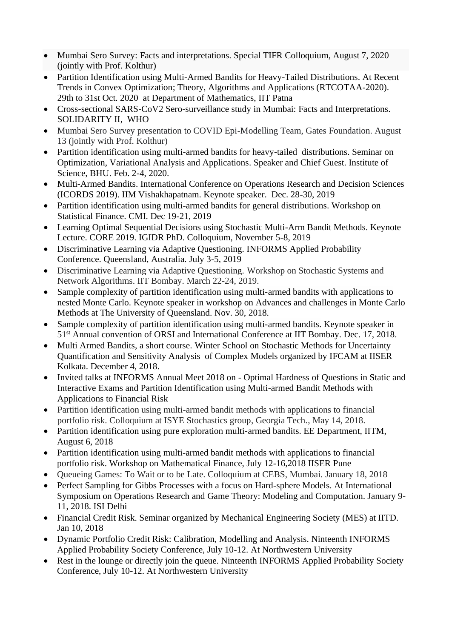- Mumbai Sero Survey: Facts and interpretations. Special TIFR Colloquium, August 7, 2020 (jointly with Prof. Kolthur)
- Partition Identification using Multi-Armed Bandits for Heavy-Tailed Distributions. At Recent Trends in Convex Optimization; Theory, Algorithms and Applications (RTCOTAA-2020). 29th to 31st Oct. 2020 at Department of Mathematics, IIT Patna
- Cross-sectional SARS-CoV2 Sero-surveillance study in Mumbai: Facts and Interpretations. SOLIDARITY II, WHO
- Mumbai Sero Survey presentation to COVID Epi-Modelling Team, Gates Foundation. August 13 (jointly with Prof. Kolthur)
- Partition identification using multi-armed bandits for heavy-tailed distributions. Seminar on Optimization, Variational Analysis and Applications. Speaker and Chief Guest. Institute of Science, BHU. Feb. 2-4, 2020.
- Multi-Armed Bandits. International Conference on Operations Research and Decision Sciences (ICORDS 2019). IIM Vishakhapatnam. Keynote speaker. Dec. 28-30, 2019
- Partition identification using multi-armed bandits for general distributions. Workshop on Statistical Finance. CMI. Dec 19-21, 2019
- Learning Optimal Sequential Decisions using Stochastic Multi-Arm Bandit Methods. Keynote Lecture. CORE 2019. IGIDR PhD. Colloquium, November 5-8, 2019
- Discriminative Learning via Adaptive Questioning. INFORMS Applied Probability Conference. Queensland, Australia. July 3-5, 2019
- Discriminative Learning via Adaptive Questioning. Workshop on Stochastic Systems and Network Algorithms. IIT Bombay. March 22-24, 2019.
- Sample complexity of partition identification using multi-armed bandits with applications to nested Monte Carlo. Keynote speaker in workshop on Advances and challenges in Monte Carlo Methods at The University of Queensland. Nov. 30, 2018.
- Sample complexity of partition identification using multi-armed bandits. Keynote speaker in 51st Annual convention of ORSI and International Conference at IIT Bombay. Dec. 17, 2018.
- Multi Armed Bandits, a short course. Winter School on Stochastic Methods for Uncertainty Quantification and Sensitivity Analysis of Complex Models organized by IFCAM at IISER Kolkata. December 4, 2018.
- Invited talks at INFORMS Annual Meet 2018 on Optimal Hardness of Questions in Static and Interactive Exams and Partition Identification using Multi-armed Bandit Methods with Applications to Financial Risk
- Partition identification using multi-armed bandit methods with applications to financial portfolio risk. Colloquium at ISYE Stochastics group, Georgia Tech., May 14, 2018.
- Partition identification using pure exploration multi-armed bandits. EE Department, IITM, August 6, 2018
- Partition identification using multi-armed bandit methods with applications to financial portfolio risk. Workshop on Mathematical Finance, July 12-16,2018 IISER Pune
- Queueing Games: To Wait or to be Late. Colloquium at CEBS, Mumbai. January 18, 2018
- Perfect Sampling for Gibbs Processes with a focus on Hard-sphere Models. At International Symposium on Operations Research and Game Theory: Modeling and Computation. January 9- 11, 2018. ISI Delhi
- Financial Credit Risk. Seminar organized by Mechanical Engineering Society (MES) at IITD. Jan 10, 2018
- Dynamic Portfolio Credit Risk: Calibration, Modelling and Analysis. Ninteenth INFORMS Applied Probability Society Conference, July 10-12. At Northwestern University
- Rest in the lounge or directly join the queue. Ninteenth INFORMS Applied Probability Society Conference, July 10-12. At Northwestern University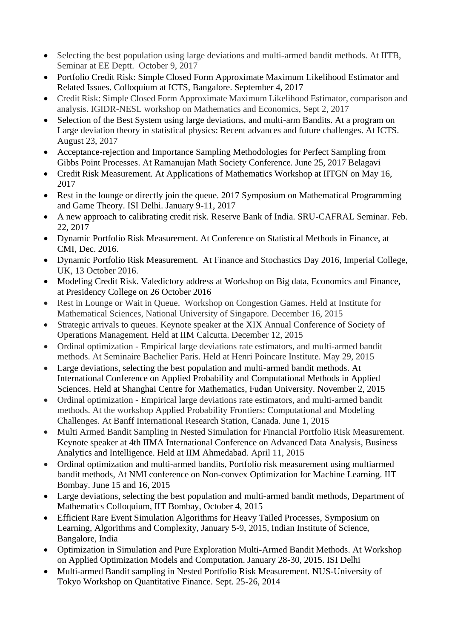- Selecting the best population using large deviations and multi-armed bandit methods. At IITB, Seminar at EE Deptt. October 9, 2017
- Portfolio Credit Risk: Simple Closed Form Approximate Maximum Likelihood Estimator and Related Issues. Colloquium at ICTS, Bangalore. September 4, 2017
- Credit Risk: Simple Closed Form Approximate Maximum Likelihood Estimator, comparison and analysis. IGIDR-NESL workshop on Mathematics and Economics, Sept 2, 2017
- Selection of the Best System using large deviations, and multi-arm Bandits. At a program on Large deviation theory in statistical physics: Recent advances and future challenges. At ICTS. August 23, 2017
- Acceptance-rejection and Importance Sampling Methodologies for Perfect Sampling from Gibbs Point Processes. At Ramanujan Math Society Conference. June 25, 2017 Belagavi
- Credit Risk Measurement. At Applications of Mathematics Workshop at IITGN on May 16, 2017
- Rest in the lounge or directly join the queue. 2017 Symposium on Mathematical Programming and Game Theory. ISI Delhi. January 9-11, 2017
- A new approach to calibrating credit risk. Reserve Bank of India. SRU-CAFRAL Seminar. Feb. 22, 2017
- Dynamic Portfolio Risk Measurement. At Conference on Statistical Methods in Finance, at CMI, Dec. 2016.
- Dynamic Portfolio Risk Measurement. At Finance and Stochastics Day 2016, Imperial College, UK, 13 October 2016.
- Modeling Credit Risk. Valedictory address at Workshop on Big data, Economics and Finance, at Presidency College on 26 October 2016
- Rest in Lounge or Wait in Queue. Workshop on Congestion Games. Held at Institute for Mathematical Sciences, National University of Singapore. December 16, 2015
- Strategic arrivals to queues. Keynote speaker at the XIX Annual Conference of Society of Operations Management. Held at IIM Calcutta. December 12, 2015
- Ordinal optimization Empirical large deviations rate estimators, and multi-armed bandit methods. At Seminaire Bachelier Paris. Held at Henri Poincare Institute. May 29, 2015
- Large deviations, selecting the best population and multi-armed bandit methods. At International Conference on Applied Probability and Computational Methods in Applied Sciences. Held at Shanghai Centre for Mathematics, Fudan University. November 2, 2015
- Ordinal optimization Empirical large deviations rate estimators, and multi-armed bandit methods. At the workshop Applied Probability Frontiers: Computational and Modeling Challenges. At Banff International Research Station, Canada. June 1, 2015
- Multi Armed Bandit Sampling in Nested Simulation for Financial Portfolio Risk Measurement. Keynote speaker at 4th IIMA International Conference on Advanced Data Analysis, Business Analytics and Intelligence. Held at IIM Ahmedabad. April 11, 2015
- Ordinal optimization and multi-armed bandits, Portfolio risk measurement using multiarmed bandit methods, At NMI conference on Non-convex Optimization for Machine Learning. IIT Bombay. June 15 and 16, 2015
- Large deviations, selecting the best population and multi-armed bandit methods, Department of Mathematics Colloquium, IIT Bombay, October 4, 2015
- Efficient Rare Event Simulation Algorithms for Heavy Tailed Processes, Symposium on Learning, Algorithms and Complexity, January 5-9, 2015, Indian Institute of Science, Bangalore, India
- Optimization in Simulation and Pure Exploration Multi-Armed Bandit Methods. At Workshop on Applied Optimization Models and Computation. January 28-30, 2015. ISI Delhi
- Multi-armed Bandit sampling in Nested Portfolio Risk Measurement. NUS-University of Tokyo Workshop on Quantitative Finance. Sept. 25-26, 2014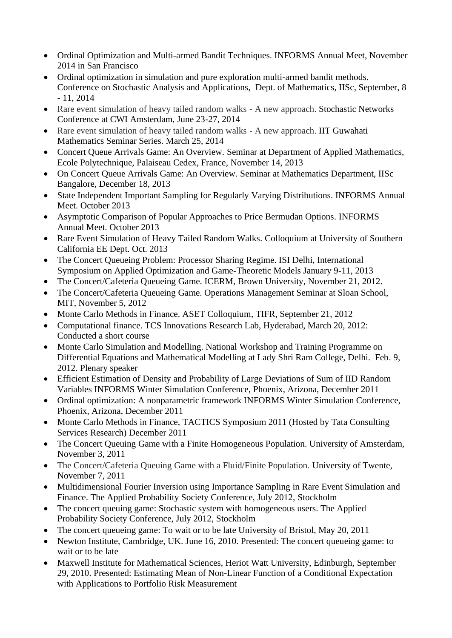- Ordinal Optimization and Multi-armed Bandit Techniques. INFORMS Annual Meet, November 2014 in San Francisco
- Ordinal optimization in simulation and pure exploration multi-armed bandit methods. Conference on Stochastic Analysis and Applications, Dept. of Mathematics, IISc, September, 8 - 11, 2014
- Rare event simulation of heavy tailed random walks A new approach. Stochastic Networks Conference at CWI Amsterdam, June 23-27, 2014
- Rare event simulation of heavy tailed random walks A new approach. IIT Guwahati Mathematics Seminar Series. March 25, 2014
- Concert Queue Arrivals Game: An Overview. Seminar at Department of Applied Mathematics, Ecole Polytechnique, Palaiseau Cedex, France, November 14, 2013
- On Concert Queue Arrivals Game: An Overview. Seminar at Mathematics Department, IISc Bangalore, December 18, 2013
- State Independent Important Sampling for Regularly Varying Distributions. INFORMS Annual Meet. October 2013
- Asymptotic Comparison of Popular Approaches to Price Bermudan Options. INFORMS Annual Meet. October 2013
- Rare Event Simulation of Heavy Tailed Random Walks. Colloquium at University of Southern California EE Dept. Oct. 2013
- The Concert Queueing Problem: Processor Sharing Regime. ISI Delhi, International Symposium on Applied Optimization and Game-Theoretic Models January 9-11, 2013
- The Concert/Cafeteria Queueing Game. ICERM, Brown University, November 21, 2012.
- The Concert/Cafeteria Queueing Game. Operations Management Seminar at Sloan School, MIT, November 5, 2012
- Monte Carlo Methods in Finance. ASET Colloquium, TIFR, September 21, 2012
- Computational finance. TCS Innovations Research Lab, Hyderabad, March 20, 2012: Conducted a short course
- Monte Carlo Simulation and Modelling. National Workshop and Training Programme on Differential Equations and Mathematical Modelling at Lady Shri Ram College, Delhi. Feb. 9, 2012. Plenary speaker
- Efficient Estimation of Density and Probability of Large Deviations of Sum of IID Random Variables INFORMS Winter Simulation Conference, Phoenix, Arizona, December 2011
- Ordinal optimization: A nonparametric framework INFORMS Winter Simulation Conference, Phoenix, Arizona, December 2011
- Monte Carlo Methods in Finance, TACTICS Symposium 2011 (Hosted by Tata Consulting Services Research) December 2011
- The Concert Queuing Game with a Finite Homogeneous Population. University of Amsterdam, November 3, 2011
- The Concert/Cafeteria Queuing Game with a Fluid/Finite Population. University of Twente, November 7, 2011
- Multidimensional Fourier Inversion using Importance Sampling in Rare Event Simulation and Finance. The Applied Probability Society Conference, July 2012, Stockholm
- The concert queuing game: Stochastic system with homogeneous users. The Applied Probability Society Conference, July 2012, Stockholm
- The concert queueing game: To wait or to be late University of Bristol, May 20, 2011
- Newton Institute, Cambridge, UK. June 16, 2010. Presented: The concert queueing game: to wait or to be late
- Maxwell Institute for Mathematical Sciences, Heriot Watt University, Edinburgh, September 29, 2010. Presented: [Estimating Mean of Non-Linear Function of a Conditional Expectation](http://www.ma.hw.ac.uk/ams/seminars/MIPS/mips_abstracts.html#sj101)  [with Applications to Portfolio Risk Measurement](http://www.ma.hw.ac.uk/ams/seminars/MIPS/mips_abstracts.html#sj101)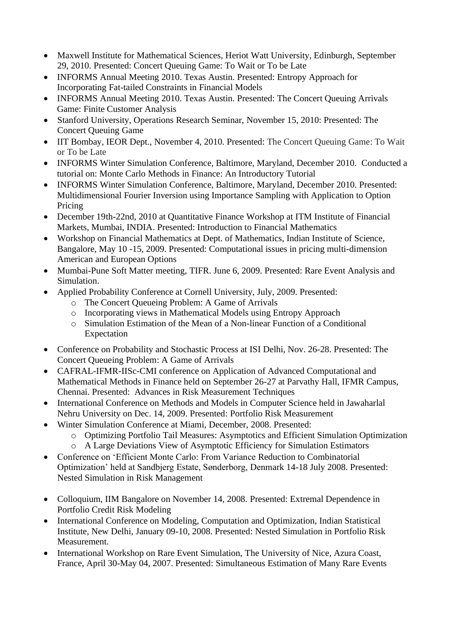- Maxwell Institute for Mathematical Sciences, Heriot Watt University, Edinburgh, September 29, 2010. Presented: [Concert Queuing Game: To Wait or To be Late](http://www.ma.hw.ac.uk/ams/seminars/MIPS/mips_abstracts.html#sj101)
- INFORMS Annual Meeting 2010. Texas Austin. Presented: Entropy Approach for Incorporating Fat-tailed Constraints in Financial Models
- INFORMS Annual Meeting 2010. Texas Austin. Presented: The Concert Oueuing Arrivals Game: Finite Customer Analysis
- Stanford University, Operations Research Seminar, November 15, 2010: Presented: The Concert Queuing Game
- IIT Bombay, IEOR Dept., November 4, 2010. Presented: The Concert Queuing Game: To Wait or To be Late
- INFORMS Winter Simulation Conference, Baltimore, Maryland, December 2010. Conducted a tutorial on: Monte Carlo Methods in Finance: An Introductory Tutorial
- INFORMS Winter Simulation Conference, Baltimore, Maryland, December 2010. Presented: Multidimensional Fourier Inversion using Importance Sampling with Application to Option Pricing
- December 19th-22nd, 2010 at Quantitative Finance Workshop at ITM Institute of Financial Markets, Mumbai, INDIA. Presented: Introduction to Financial Mathematics
- Workshop on Financial Mathematics at Dept. of Mathematics, Indian Institute of Science, Bangalore, May 10 -15, 2009. Presented: Computational issues in pricing multi-dimension American and European Options
- Mumbai-Pune Soft Matter meeting, TIFR. June 6, 2009. Presented: Rare Event Analysis and Simulation.
- Applied Probability Conference at Cornell University, July, 2009. Presented:
	- o The Concert Queueing Problem: A Game of Arrivals
	- o Incorporating views in Mathematical Models using Entropy Approach
	- o Simulation Estimation of the Mean of a Non-linear Function of a Conditional Expectation
- Conference on Probability and Stochastic Process at ISI Delhi, Nov. 26-28. Presented: The Concert Queueing Problem: A Game of Arrivals
- CAFRAL-IFMR-IISc-CMI conference on Application of Advanced Computational and Mathematical Methods in Finance held on September 26-27 at Parvathy Hall, IFMR Campus, Chennai. Presented: Advances in Risk Measurement Techniques
- International Conference on Methods and Models in Computer Science held in Jawaharlal Nehru University on Dec. 14, 2009. Presented: Portfolio Risk Measurement
- Winter Simulation Conference at Miami, December, 2008. Presented:
	- o Optimizing Portfolio Tail Measures: Asymptotics and Efficient Simulation Optimization
	- o A Large Deviations View of Asymptotic Efficiency for Simulation Estimators
- Conference on 'Efficient Monte Carlo: From Variance Reduction to Combinatorial Optimization' held at Sandbjerg Estate, Sønderborg, Denmark 14-18 July 2008. Presented: Nested Simulation in Risk Management
- Colloquium, IIM Bangalore on November 14, 2008. Presented: Extremal Dependence in Portfolio Credit Risk Modeling
- International Conference on Modeling, Computation and Optimization, Indian Statistical Institute, New Delhi, January 09-10, 2008. Presented: Nested Simulation in Portfolio Risk Measurement.
- International Workshop on Rare Event Simulation, The University of Nice, Azura Coast, France, April 30-May 04, 2007. Presented: Simultaneous Estimation of Many Rare Events